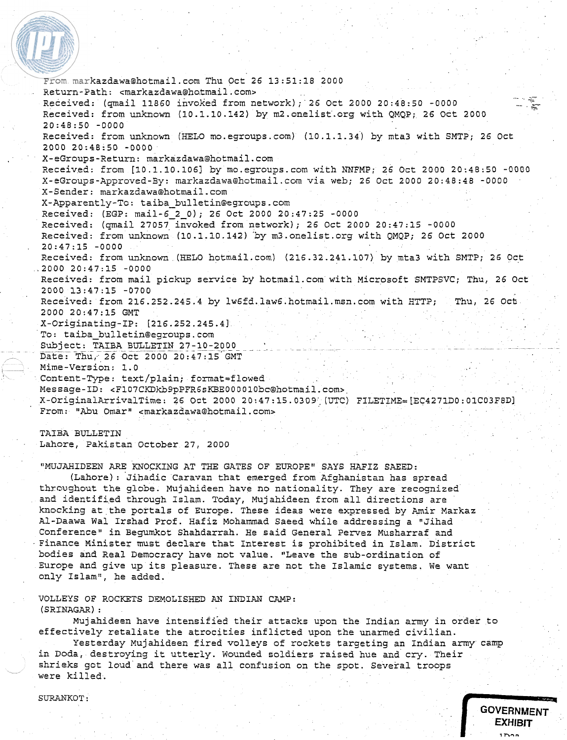From markazdawa@hotmail.com Thu Oct 26 13:51:18 2000  $Return-Path:$   $<$ markazdawa@hotmail.com> Received: (qmail 11860 invoked from network); 26 Oct 2000 20:48:50 -0000 Received: from unknown (10.1.10.142) by m2.onelist.org with QMQP; 26 Oct 2000 20:48:50 -0000 Received: from unknown (HELO mo.egroups.com) (10.1.1.34) by mta3 with SMTP; 26 Oct 2000 20:48:50 -0000 X-eGroups-Return: markazdawa@hotmail.com Received: from [10.1.10.1061 by rno.egroups.com wich NNFMP; 26 Oct 2000 20:48:50 -0000 X-eGroups-Approved-By: markazdawa@hotmail.com via web; 26 Oct 2000 20:48:48 -0000 X-Sender: markazdawa@hotmail.com X-Apparently-To: **taiba-bulletin@egroups.com**  Received: (EGP: mail-6-2-0); 26 Oct 2000 20:47:25 -0000 Received: (qmail 27057 invoked from network); 26 Oct 2000 20:47:15 -0000 Received: from unknown (10.1.10.142) 'by m3.0nelist.org with QMQP; 26 Oct 2000 20:47:15 -0000 Received: from unknown (HELO hotmail.com) (216.32.241.107) by mta3 with SMTP; 26 Oct ,2000 20:47:15 -0000 Received: from mail pickup service by hotmail.com with Microsoft SMTPSVC; Thu, 26 Oct 2000 13:47:15 -0700 Received: from 216.252.245.4 by lw6fd.law6.hotmail.msn.com with HTTP; Thu, 26 Ock 2000 20:47:15 GMT X-Originating-IP: [216.252.245.4] To: **taiba-bulletin@egroups.com**  Subject: TAIBA BULLETIN 27-10-2000 Date: Thu, 26 Oct 2000 20:47:15 GMT Mime-Version: 1.0 ~. Content-Type: text/plain; format=flowed Message-ID: <F107CKDkb9pPFR6sKBE000010bc@hotmail.com> X-OriginalArrivalTime: 26 Oct 2000 20:47:15.0309 (UTC) FILETIME=[EC4271D0:01C03F8D] From: "Abu Omar" <markazdawa@hotmail.com>

TAIBA BULLETIN Lahore, Pakistan October 27, 2000

"MUJAHIDEEN ARE KNOCKING AT THE GATES OF EUROPE" SAYS **HAFIZ** SAEED:

(Lahore): Jihadic Caravan that emerged from Afghanistan has spread thrcughout the globe. Mujahideen have no nationality. They are recognized and identified through Islam. Today, Mujahideen from all directions are knocking at the portals of Europe. These ideas were expressed by Amir Markaz Al-Daawa Wal Irshad Prof. Hafiz Mohammad Saeed while addressing a "Jihad Conference" in Begumkot Shahdarrah. He said General Pervez Musharraf and Finance Minister must declare that Interest is prohibited in Islam. District bodies and Real Democracy have not value. "Leave the sub-ordination of Europe and give up its pleasure. These are not the Islamic systems. We want only Islam", he added.

VOLLEYS OF ROCKETS DEMOLISHED AN INDIAN CAMP: (SRINAGAR) :

Mujahideen have intensified their attacks upon the Indian army in order to effectively retaliate the atrocities inflicted upon the unarmed civilian.

Yesterday Mujahideen fired volleys of rockets targeting an Indian army camp in Doda, destroying it utterly. Wounded soldiers raised hue and cry. Their shrieks got loud and there was all confusion on the spot. Several troops were killed. **GOVERNMENT**<br> **GOVERNMENT**<br> **EXHIBIT** 

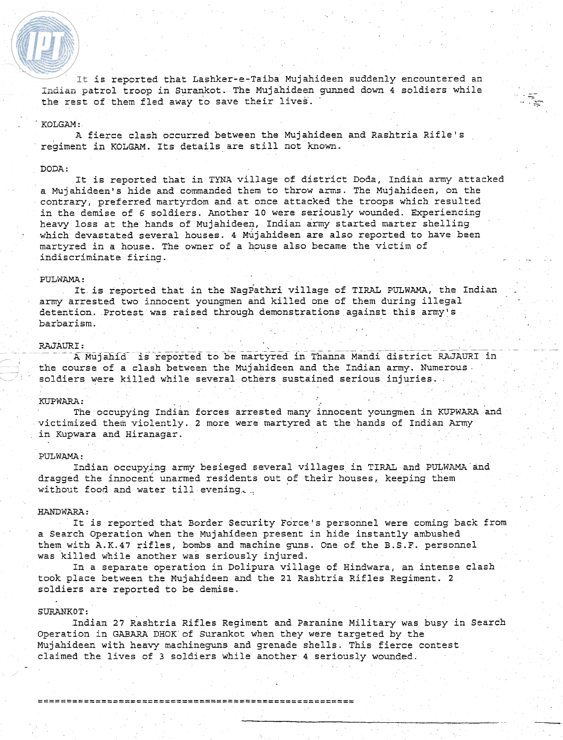It is reported that Lashker-e-Taiba Mujahideen suddenly encountered an Indian patrol troop in Surankot. The Mujahideen gunned down **4** soldiers while the rest of them fled away to save their lives. '

# ' KOLGAM :

A fierce clash occurred between the Mujahideen and Rashtria Rifle's regiment in KOLGAM. Its details are still not known.

# DODA :

It is reported that in TYNA village of district Doda, Indian army attacked a Mujahideen's hide and commanded them to throw arms. The Mujahideen, on the contrary, preferred martyrdom and at once attacked the troops which resulted in the demise of **6** soldiers. Another **10** were seriously wounded. Experiencing heavy loss at the hands of Mujahideen, Indian army started marter shelling which devastated several houses. **4** Mujahideen are also reported to have been martyred in a house. The owner of a house also became the victim of indiscriminate firing.

## PULWAMA :

It is reported that in the NagPathri village of TIRAL PULWAMA, the Indian army arrested two innocent youngmen and killed one of them during illegal detention. Protest was raised through demonstrations against this army's barbarism. . ,

RAJAURI:<br>- - - - A Mujahid is reported to be martyred in Thanna Mandi district RAJAURI in the course of a clash between the Mujahideen and the Indian army. Numerous. soldiers were killed while several others sustained serious injuries.

# KUPWARA:

The occupying Indian forces arrested many innocent youngmen in KUPWARA and victimized them violently. 2 more were martyred at the hands of Indian Army in Kupwara and Hiranagar.

# PULWAMA :

Indian occupying army besieged several villages in TIRAL and PULWAMA and dragged the innocent unarmed residents out of their houses, keeping them without food and water till evening, ..

#### HANDWARA:

It is reported that Border Security Force's personnel were coming back from a Search operation when the Mujahideen present in hide instantly ambushed them with A.K.47 rifles, bombs and machine guns. One of the B.S.F. personnel was killed while another was seriously injured.

In a separate operation in Dolipura village of Hindwara, an intense clash took place between the Mujahideen and the **21** Rashtria Rifles Regiment. 2 soldiers are reported to be demise.

## SURANKOT :

Indian **27** Rashtria Rifles Regiment and Paranine Military was busy in Search Operation in GABARA DHOK of Surankot when they were targeted by the Mujahideen with heavy machineguns and grenade shells. This fierce contest claimed the lives of **3** soldiers while another 4 seriously wounded.